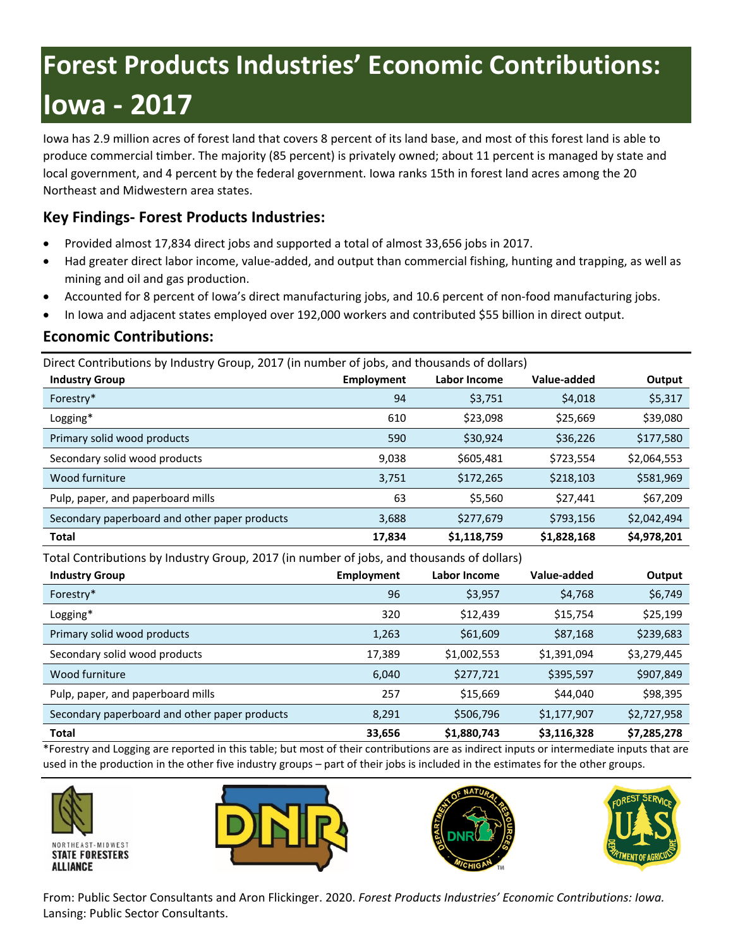# **Forest Products Industries' Economic Contributions: Iowa - 2017**

Iowa has 2.9 million acres of forest land that covers 8 percent of its land base, and most of this forest land is able to produce commercial timber. The majority (85 percent) is privately owned; about 11 percent is managed by state and local government, and 4 percent by the federal government. Iowa ranks 15th in forest land acres among the 20 Northeast and Midwestern area states.

# **Key Findings- Forest Products Industries:**

- Provided almost 17,834 direct jobs and supported a total of almost 33,656 jobs in 2017.
- Had greater direct labor income, value-added, and output than commercial fishing, hunting and trapping, as well as mining and oil and gas production.
- Accounted for 8 percent of Iowa's direct manufacturing jobs, and 10.6 percent of non-food manufacturing jobs.
- In Iowa and adjacent states employed over 192,000 workers and contributed \$55 billion in direct output.

### **Economic Contributions:**

Direct Contributions by Industry Group, 2017 (in number of jobs, and thousands of dollars)

| <b>Industry Group</b>                         | Employment | Labor Income | Value-added | Output      |
|-----------------------------------------------|------------|--------------|-------------|-------------|
| Forestry*                                     | 94         | \$3,751      | \$4,018     | \$5,317     |
| Logging*                                      | 610        | \$23,098     | \$25,669    | \$39,080    |
| Primary solid wood products                   | 590        | \$30,924     | \$36,226    | \$177,580   |
| Secondary solid wood products                 | 9,038      | \$605,481    | \$723,554   | \$2,064,553 |
| Wood furniture                                | 3,751      | \$172,265    | \$218,103   | \$581,969   |
| Pulp, paper, and paperboard mills             | 63         | \$5,560      | \$27,441    | \$67,209    |
| Secondary paperboard and other paper products | 3,688      | \$277,679    | \$793,156   | \$2,042,494 |
| <b>Total</b>                                  | 17,834     | \$1,118,759  | \$1,828,168 | \$4,978,201 |

Total Contributions by Industry Group, 2017 (in number of jobs, and thousands of dollars)

| <b>Industry Group</b>                         | Employment | Labor Income | Value-added | Output      |
|-----------------------------------------------|------------|--------------|-------------|-------------|
| Forestry*                                     | 96         | \$3,957      | \$4,768     | \$6,749     |
| Logging*                                      | 320        | \$12,439     | \$15,754    | \$25,199    |
| Primary solid wood products                   | 1,263      | \$61,609     | \$87,168    | \$239,683   |
| Secondary solid wood products                 | 17,389     | \$1,002,553  | \$1,391,094 | \$3,279,445 |
| Wood furniture                                | 6,040      | \$277,721    | \$395,597   | \$907,849   |
| Pulp, paper, and paperboard mills             | 257        | \$15,669     | \$44,040    | \$98,395    |
| Secondary paperboard and other paper products | 8,291      | \$506,796    | \$1,177,907 | \$2,727,958 |
| <b>Total</b>                                  | 33,656     | \$1,880,743  | \$3,116,328 | \$7,285,278 |

\*Forestry and Logging are reported in this table; but most of their contributions are as indirect inputs or intermediate inputs that are used in the production in the other five industry groups – part of their jobs is included in the estimates for the other groups.









From: Public Sector Consultants and Aron Flickinger. 2020. *Forest Products Industries' Economic Contributions: Iowa.*  Lansing: Public Sector Consultants.